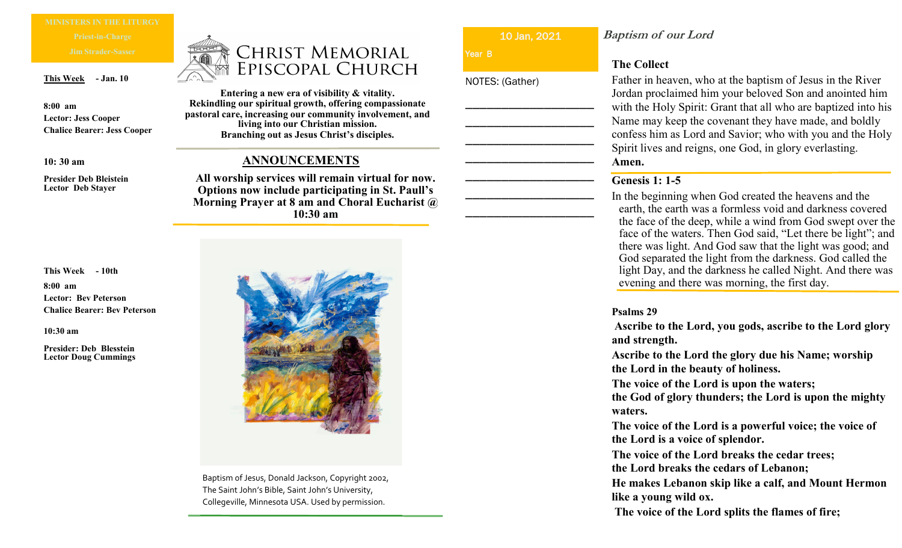**This Week - Jan. 10**

**8:00 am Lector: Jess Cooper Chalice Bearer: Jess Cooper**

**10: 30 am**

**Presider Deb Bleistein Lector Deb Stayer**

**This Week - 10th**

**8:00 am Lector: Bev Peterson Chalice Bearer: Bev Peterson**

**10:30 am**

**Presider: Deb Blesstein Lector Doug Cummings**

# **CHRIST MEMORIAL** EPISCOPAL CHURCH

**Entering a new era of visibility & vitality. Rekindling our spiritual growth, offering compassionate pastoral care, increasing our community involvement, and living into our Christian mission. Branching out as Jesus Christ's disciples.** 

## **ANNOUNCEMENTS**

**All worship services will remain virtual for now. Options now include participating in St. Paull's Morning Prayer at 8 am and Choral Eucharist @ 10:30 am**



Baptism of Jesus, Donald Jackson, Copyright 2002, The Saint John's Bible, Saint John's University, Collegeville, Minnesota USA. Used by permission.

10 Jan, 2021

\_\_\_\_\_\_\_\_\_\_\_\_\_\_\_\_\_\_

\_\_\_\_\_\_\_\_\_\_\_\_\_\_\_\_\_\_

\_\_\_\_\_\_\_\_\_\_\_\_\_\_\_\_\_\_

\_\_\_\_\_\_\_\_\_\_\_\_\_\_\_\_\_\_

\_\_\_\_\_\_\_\_\_\_\_\_\_\_\_\_\_\_

\_\_\_\_\_\_\_\_\_\_\_\_\_\_\_\_\_\_

\_\_\_\_\_\_\_\_\_\_\_\_\_\_\_\_\_\_

Year **B** 

NOTES: (Gather)

**Baptism of our Lord**

## **The Collect**

Father in heaven, who at the baptism of Jesus in the River Jordan proclaimed him your beloved Son and anointed him with the Holy Spirit: Grant that all who are baptized into his Name may keep the covenant they have made, and boldly confess him as Lord and Savior; who with you and the Holy Spirit lives and reigns, one God, in glory everlasting. **Amen.**

## **Genesis 1: 1-5**

In the beginning when God created the heavens and the earth, the earth was a formless void and darkness covered the face of the deep, while a wind from God swept over the face of the waters. Then God said, "Let there be light"; and there was light. And God saw that the light was good; and God separated the light from the darkness. God called the light Day, and the darkness he called Night. And there was evening and there was morning, the first day.

#### **Psalms 29**

**Ascribe to the Lord, you gods, ascribe to the Lord glory and strength.**

**Ascribe to the Lord the glory due his Name; worship the Lord in the beauty of holiness.**

**The voice of the Lord is upon the waters;**

**the God of glory thunders; the Lord is upon the mighty waters.**

**The voice of the Lord is a powerful voice; the voice of the Lord is a voice of splendor.**

**The voice of the Lord breaks the cedar trees; the Lord breaks the cedars of Lebanon;**

**He makes Lebanon skip like a calf, and Mount Hermon like a young wild ox.**

**The voice of the Lord splits the flames of fire;**